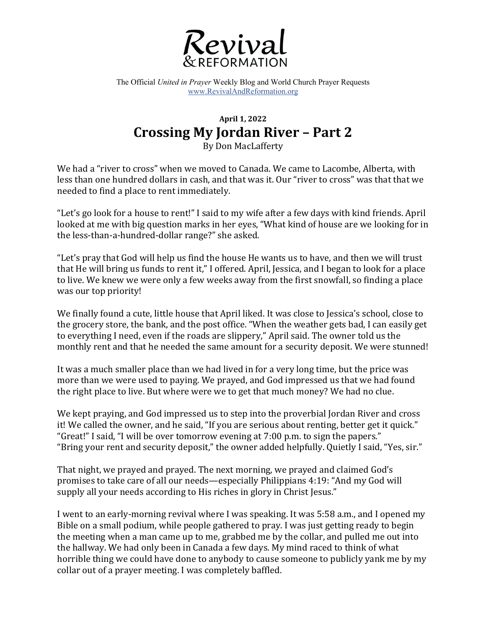

The Official *United in Prayer* Weekly Blog and World Church Prayer Requests www.RevivalAndReformation.org

## **April 1, 2022 Crossing My Jordan River – Part 2**

By Don MacLafferty

We had a "river to cross" when we moved to Canada. We came to Lacombe, Alberta, with less than one hundred dollars in cash, and that was it. Our "river to cross" was that that we needed to find a place to rent immediately.

"Let's go look for a house to rent!" I said to my wife after a few days with kind friends. April looked at me with big question marks in her eyes, "What kind of house are we looking for in the less-than-a-hundred-dollar range?" she asked.

"Let's pray that God will help us find the house He wants us to have, and then we will trust that He will bring us funds to rent it," I offered. April, Jessica, and I began to look for a place to live. We knew we were only a few weeks away from the first snowfall, so finding a place was our top priority!

We finally found a cute, little house that April liked. It was close to Jessica's school, close to the grocery store, the bank, and the post office. "When the weather gets bad, I can easily get to everything I need, even if the roads are slippery," April said. The owner told us the monthly rent and that he needed the same amount for a security deposit. We were stunned!

It was a much smaller place than we had lived in for a very long time, but the price was more than we were used to paying. We prayed, and God impressed us that we had found the right place to live. But where were we to get that much money? We had no clue.

We kept praying, and God impressed us to step into the proverbial Jordan River and cross it! We called the owner, and he said, "If you are serious about renting, better get it quick." "Great!" I said, "I will be over tomorrow evening at 7:00 p.m. to sign the papers." "Bring your rent and security deposit," the owner added helpfully. Quietly I said, "Yes, sir."

That night, we prayed and prayed. The next morning, we prayed and claimed God's promises to take care of all our needs—especially Philippians 4:19: "And my God will supply all your needs according to His riches in glory in Christ Jesus."

I went to an early-morning revival where I was speaking. It was 5:58 a.m., and I opened my Bible on a small podium, while people gathered to pray. I was just getting ready to begin the meeting when a man came up to me, grabbed me by the collar, and pulled me out into the hallway. We had only been in Canada a few days. My mind raced to think of what horrible thing we could have done to anybody to cause someone to publicly yank me by my collar out of a prayer meeting. I was completely baffled.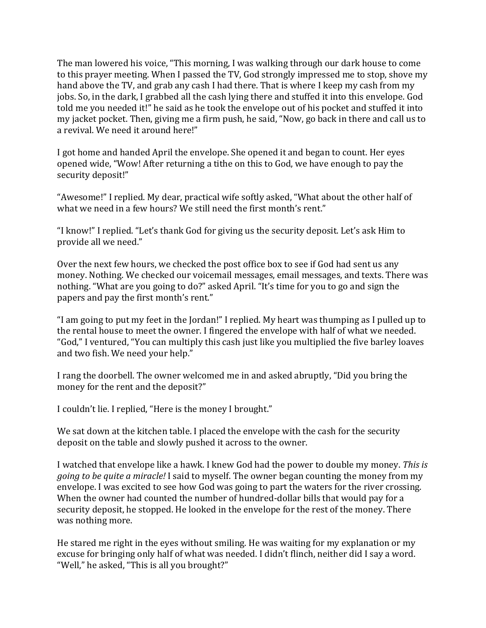The man lowered his voice, "This morning, I was walking through our dark house to come to this prayer meeting. When I passed the TV, God strongly impressed me to stop, shove my hand above the TV, and grab any cash I had there. That is where I keep my cash from my jobs. So, in the dark, I grabbed all the cash lying there and stuffed it into this envelope. God told me you needed it!" he said as he took the envelope out of his pocket and stuffed it into my jacket pocket. Then, giving me a firm push, he said, "Now, go back in there and call us to a revival. We need it around here!"

I got home and handed April the envelope. She opened it and began to count. Her eyes opened wide, "Wow! After returning a tithe on this to God, we have enough to pay the security deposit!"

"Awesome!" I replied. My dear, practical wife softly asked, "What about the other half of what we need in a few hours? We still need the first month's rent."

"I know!" I replied. "Let's thank God for giving us the security deposit. Let's ask Him to provide all we need."

Over the next few hours, we checked the post office box to see if God had sent us any money. Nothing. We checked our voicemail messages, email messages, and texts. There was nothing. "What are you going to do?" asked April. "It's time for you to go and sign the papers and pay the first month's rent."

"I am going to put my feet in the Jordan!" I replied. My heart was thumping as I pulled up to the rental house to meet the owner. I fingered the envelope with half of what we needed. "God," I ventured, "You can multiply this cash just like you multiplied the five barley loaves and two fish. We need your help."

I rang the doorbell. The owner welcomed me in and asked abruptly, "Did you bring the money for the rent and the deposit?"

I couldn't lie. I replied, "Here is the money I brought."

We sat down at the kitchen table. I placed the envelope with the cash for the security deposit on the table and slowly pushed it across to the owner.

I watched that envelope like a hawk. I knew God had the power to double my money. *This is going to be quite a miracle!* I said to myself. The owner began counting the money from my envelope. I was excited to see how God was going to part the waters for the river crossing. When the owner had counted the number of hundred-dollar bills that would pay for a security deposit, he stopped. He looked in the envelope for the rest of the monev. There was nothing more.

He stared me right in the eyes without smiling. He was waiting for my explanation or my excuse for bringing only half of what was needed. I didn't flinch, neither did I say a word. "Well," he asked, "This is all you brought?"